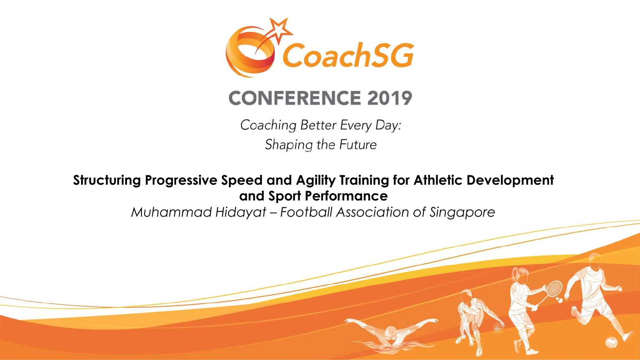

### **CONFERENCE 2019**

Coaching Better Every Day: Shaping the Future

### **Structuring Progressive Speed and Agility Training for Athletic Development and Sport Performance**

*Muhammad Hidayat – Football Association of Singapore*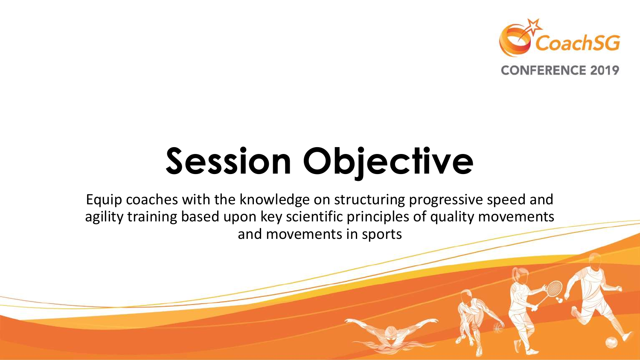

# **Session Objective**

Equip coaches with the knowledge on structuring progressive speed and agility training based upon key scientific principles of quality movements and movements in sports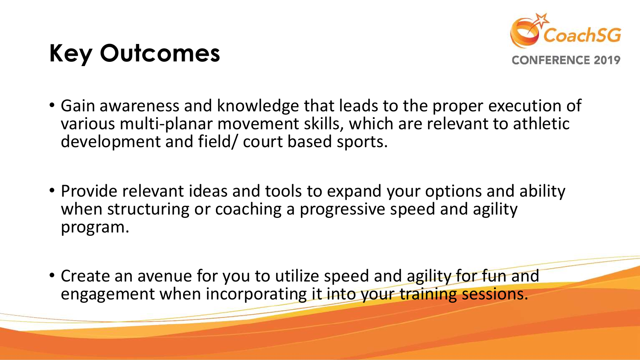## **Key Outcomes**



- Gain awareness and knowledge that leads to the proper execution of various multi-planar movement skills, which are relevant to athletic development and field/ court based sports.
- Provide relevant ideas and tools to expand your options and ability when structuring or coaching a progressive speed and agility program.
- Create an avenue for you to utilize speed and agility for fun and engagement when incorporating it into your training sessions.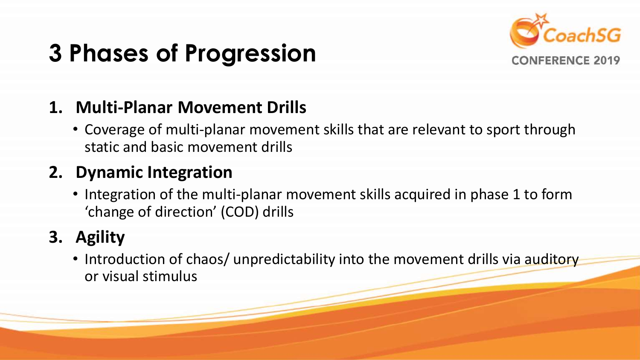## **3 Phases of Progression**



### **1. Multi-Planar Movement Drills**

• Coverage of multi-planar movement skills that are relevant to sport through static and basic movement drills

### **2. Dynamic Integration**

• Integration of the multi-planar movement skills acquired in phase 1 to form 'change of direction' (COD) drills

### **3. Agility**

• Introduction of chaos/ unpredictability into the movement drills via auditory or visual stimulus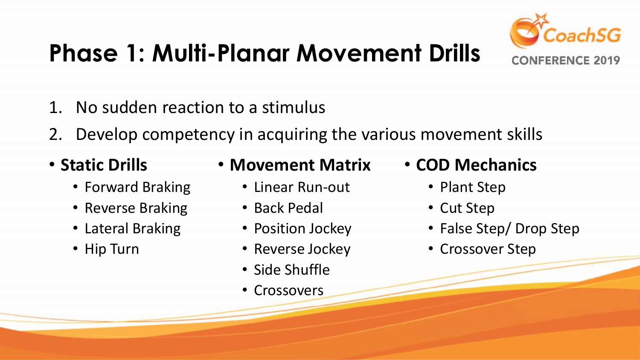

## **Phase 1: Multi-Planar Movement Drills**

- 1. No sudden reaction to a stimulus
- 2. Develop competency in acquiring the various movement skills
- **Static Drills**
	- Forward Braking
	- Reverse Braking
	- Lateral Braking
	- Hip Turn
- **Movement Matrix**
	- Linear Run-out
	- Back Pedal
	- Position Jockey
	- Reverse Jockey
	- Side Shuffle
	- Crossovers
- **COD Mechanics**
	- Plant Step
	- Cut Step
	- False Step/ Drop Step
	- Crossover Step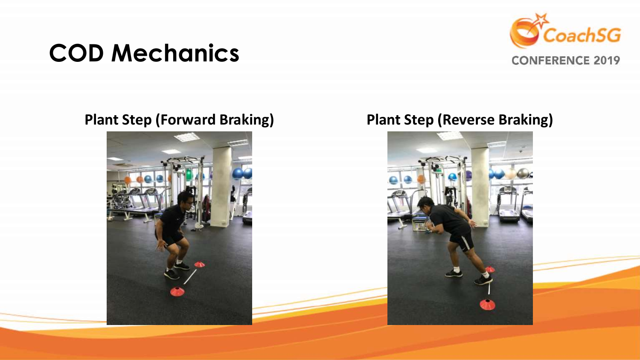## **COD Mechanics**





### **Plant Step (Forward Braking) Plant Step (Reverse Braking)**

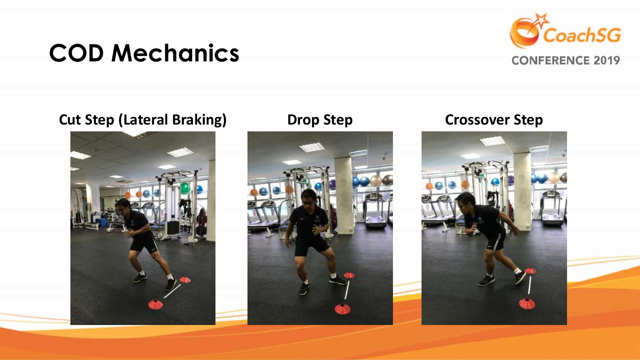## **COD Mechanics**



### **Cut Step (Lateral Braking) Drop Step Crossover Step**





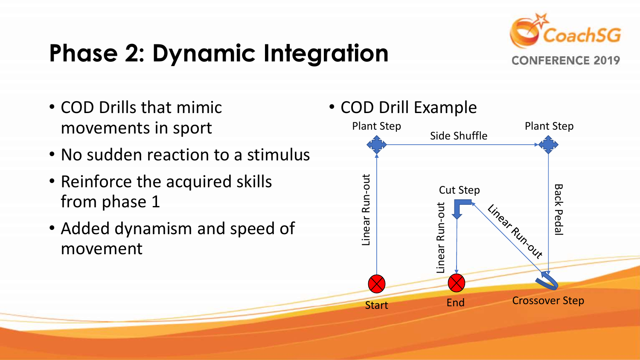## **Phase 2: Dynamic Integration**



- COD Drills that mimic movements in sport
- No sudden reaction to a stimulus
- Reinforce the acquired skills from phase 1
- Added dynamism and speed of movement

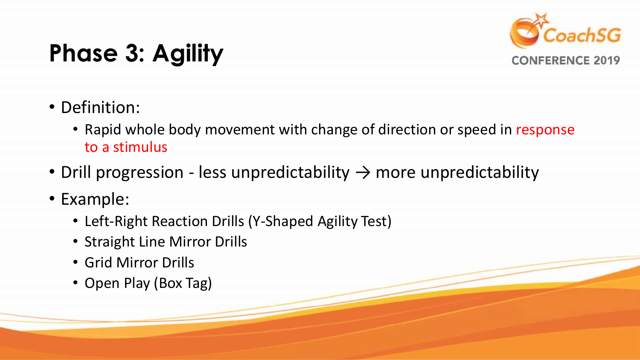

## **Phase 3: Agility**

- Definition:
	- Rapid whole body movement with change of direction or speed in response to a stimulus
- Drill progression less unpredictability  $\rightarrow$  more unpredictability
- Example:
	- Left-Right Reaction Drills (Y-Shaped Agility Test)
	- Straight Line Mirror Drills
	- Grid Mirror Drills
	- Open Play (Box Tag)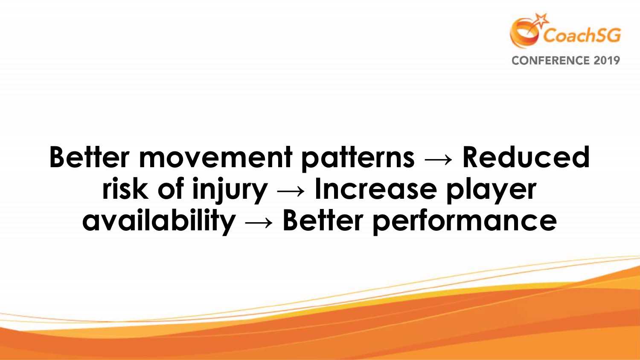

## **Better movement patterns → Reduced risk of injury → Increase player availability → Better performance**